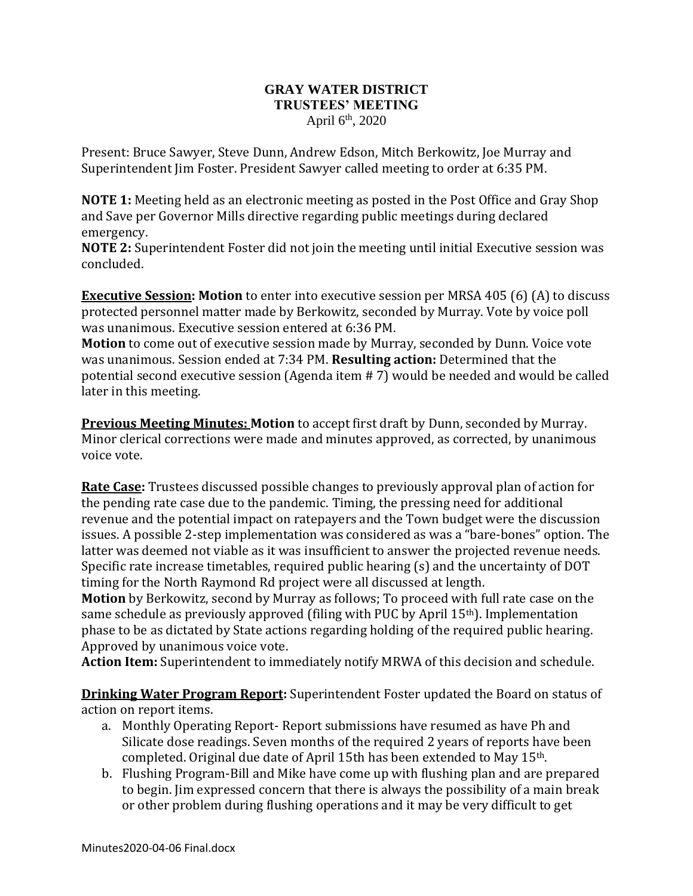## **GRAY WATER DISTRICT TRUSTEES' MEETING** April 6<sup>th</sup>, 2020

Present: Bruce Sawyer, Steve Dunn, Andrew Edson, Mitch Berkowitz, Joe Murray and Superintendent Jim Foster. President Sawyer called meeting to order at 6:35 PM.

**NOTE 1:** Meeting held as an electronic meeting as posted in the Post Office and Gray Shop and Save per Governor Mills directive regarding public meetings during declared emergency.

**NOTE 2:** Superintendent Foster did not join the meeting until initial Executive session was concluded.

**Executive Session: Motion** to enter into executive session per MRSA 405 (6) (A) to discuss protected personnel matter made by Berkowitz, seconded by Murray. Vote by voice poll was unanimous. Executive session entered at 6:36 PM.

**Motion** to come out of executive session made by Murray, seconded by Dunn. Voice vote was unanimous. Session ended at 7:34 PM. **Resulting action:** Determined that the potential second executive session (Agenda item # 7) would be needed and would be called later in this meeting.

**Previous Meeting Minutes: Motion** to accept first draft by Dunn, seconded by Murray. Minor clerical corrections were made and minutes approved, as corrected, by unanimous voice vote.

**Rate Case:** Trustees discussed possible changes to previously approval plan of action for the pending rate case due to the pandemic. Timing, the pressing need for additional revenue and the potential impact on ratepayers and the Town budget were the discussion issues. A possible 2-step implementation was considered as was a "bare-bones" option. The latter was deemed not viable as it was insufficient to answer the projected revenue needs. Specific rate increase timetables, required public hearing (s) and the uncertainty of DOT timing for the North Raymond Rd project were all discussed at length.

**Motion** by Berkowitz, second by Murray as follows; To proceed with full rate case on the same schedule as previously approved (filing with PUC by April 15th). Implementation phase to be as dictated by State actions regarding holding of the required public hearing. Approved by unanimous voice vote.

**Action Item:** Superintendent to immediately notify MRWA of this decision and schedule.

**Drinking Water Program Report:** Superintendent Foster updated the Board on status of action on report items.

- a. Monthly Operating Report- Report submissions have resumed as have Ph and Silicate dose readings. Seven months of the required 2 years of reports have been completed. Original due date of April 15th has been extended to May 15th.
- b. Flushing Program-Bill and Mike have come up with flushing plan and are prepared to begin. Jim expressed concern that there is always the possibility of a main break or other problem during flushing operations and it may be very difficult to get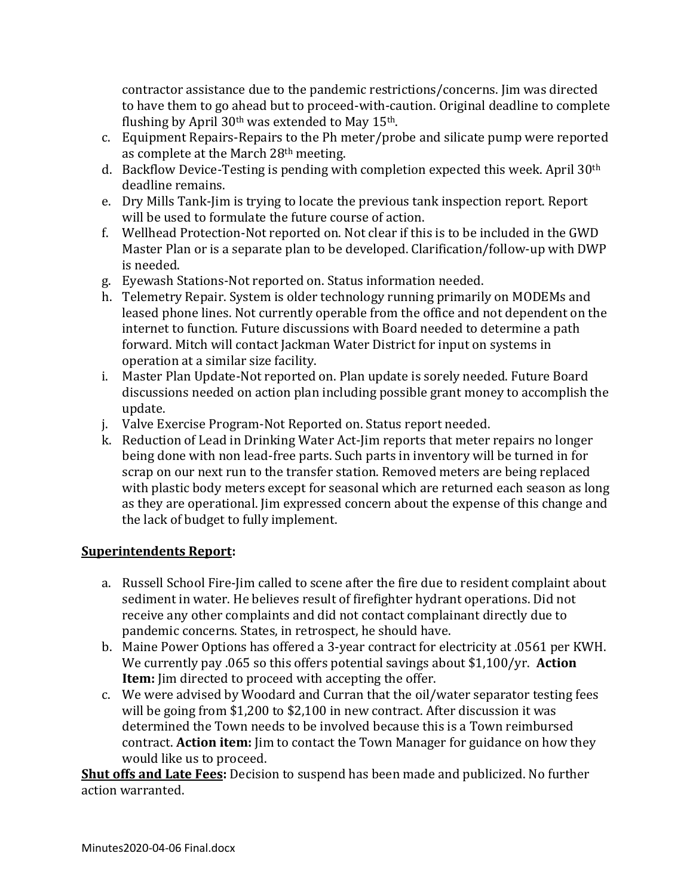contractor assistance due to the pandemic restrictions/concerns. Jim was directed to have them to go ahead but to proceed-with-caution. Original deadline to complete flushing by April  $30<sup>th</sup>$  was extended to May  $15<sup>th</sup>$ .

- c. Equipment Repairs-Repairs to the Ph meter/probe and silicate pump were reported as complete at the March 28th meeting.
- d. Backflow Device-Testing is pending with completion expected this week. April 30th deadline remains.
- e. Dry Mills Tank-Jim is trying to locate the previous tank inspection report. Report will be used to formulate the future course of action.
- f. Wellhead Protection-Not reported on. Not clear if this is to be included in the GWD Master Plan or is a separate plan to be developed. Clarification/follow-up with DWP is needed.
- g. Eyewash Stations-Not reported on. Status information needed.
- h. Telemetry Repair. System is older technology running primarily on MODEMs and leased phone lines. Not currently operable from the office and not dependent on the internet to function. Future discussions with Board needed to determine a path forward. Mitch will contact Jackman Water District for input on systems in operation at a similar size facility.
- i. Master Plan Update-Not reported on. Plan update is sorely needed. Future Board discussions needed on action plan including possible grant money to accomplish the update.
- j. Valve Exercise Program-Not Reported on. Status report needed.
- k. Reduction of Lead in Drinking Water Act-Jim reports that meter repairs no longer being done with non lead-free parts. Such parts in inventory will be turned in for scrap on our next run to the transfer station. Removed meters are being replaced with plastic body meters except for seasonal which are returned each season as long as they are operational. Jim expressed concern about the expense of this change and the lack of budget to fully implement.

## **Superintendents Report:**

- a. Russell School Fire-Jim called to scene after the fire due to resident complaint about sediment in water. He believes result of firefighter hydrant operations. Did not receive any other complaints and did not contact complainant directly due to pandemic concerns. States, in retrospect, he should have.
- b. Maine Power Options has offered a 3-year contract for electricity at .0561 per KWH. We currently pay .065 so this offers potential savings about \$1,100/yr. **Action Item:** Jim directed to proceed with accepting the offer.
- c. We were advised by Woodard and Curran that the oil/water separator testing fees will be going from \$1,200 to \$2,100 in new contract. After discussion it was determined the Town needs to be involved because this is a Town reimbursed contract. **Action item:** Jim to contact the Town Manager for guidance on how they would like us to proceed.

**Shut offs and Late Fees:** Decision to suspend has been made and publicized. No further action warranted.